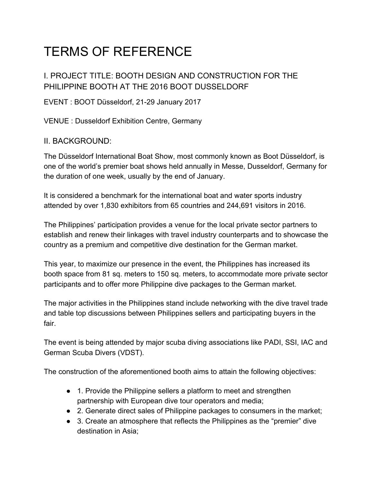# TERMS OF REFERENCE

I. PROJECT TITLE: BOOTH DESIGN AND CONSTRUCTION FOR THE PHILIPPINE BOOTH AT THE 2016 BOOT DUSSELDORF

EVENT : BOOT Düsseldorf, 21-29 January 2017

VENUE : Dusseldorf Exhibition Centre, Germany

### II. BACKGROUND:

The Düsseldorf International Boat Show, most commonly known as Boot Düsseldorf, is one of the world's premier boat shows held annually in Messe, Dusseldorf, Germany for the duration of one week, usually by the end of January.

It is considered a benchmark for the international boat and water sports industry attended by over 1,830 exhibitors from 65 countries and 244,691 visitors in 2016.

The Philippines' participation provides a venue for the local private sector partners to establish and renew their linkages with travel industry counterparts and to showcase the country as a premium and competitive dive destination for the German market.

This year, to maximize our presence in the event, the Philippines has increased its booth space from 81 sq. meters to 150 sq. meters, to accommodate more private sector participants and to offer more Philippine dive packages to the German market.

The major activities in the Philippines stand include networking with the dive travel trade and table top discussions between Philippines sellers and participating buyers in the fair.

The event is being attended by major scuba diving associations like PADI, SSI, IAC and German Scuba Divers (VDST).

The construction of the aforementioned booth aims to attain the following objectives:

- 1. Provide the Philippine sellers a platform to meet and strengthen partnership with European dive tour operators and media;
- 2. Generate direct sales of Philippine packages to consumers in the market;
- 3. Create an atmosphere that reflects the Philippines as the "premier" dive destination in Asia;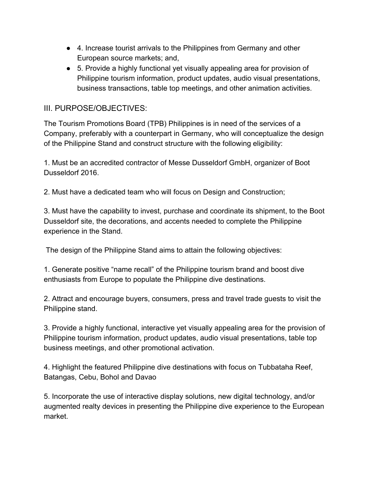- 4. Increase tourist arrivals to the Philippines from Germany and other European source markets; and,
- 5. Provide a highly functional yet visually appealing area for provision of Philippine tourism information, product updates, audio visual presentations, business transactions, table top meetings, and other animation activities.

## III. PURPOSE/OBJECTIVES:

The Tourism Promotions Board (TPB) Philippines is in need of the services of a Company, preferably with a counterpart in Germany, who will conceptualize the design of the Philippine Stand and construct structure with the following eligibility:

1. Must be an accredited contractor of Messe Dusseldorf GmbH, organizer of Boot Dusseldorf 2016.

2. Must have a dedicated team who will focus on Design and Construction;

3. Must have the capability to invest, purchase and coordinate its shipment, to the Boot Dusseldorf site, the decorations, and accents needed to complete the Philippine experience in the Stand.

The design of the Philippine Stand aims to attain the following objectives:

1. Generate positive "name recall" of the Philippine tourism brand and boost dive enthusiasts from Europe to populate the Philippine dive destinations.

2. Attract and encourage buyers, consumers, press and travel trade guests to visit the Philippine stand.

3. Provide a highly functional, interactive yet visually appealing area for the provision of Philippine tourism information, product updates, audio visual presentations, table top business meetings, and other promotional activation.

4. Highlight the featured Philippine dive destinations with focus on Tubbataha Reef, Batangas, Cebu, Bohol and Davao

5. Incorporate the use of interactive display solutions, new digital technology, and/or augmented realty devices in presenting the Philippine dive experience to the European market.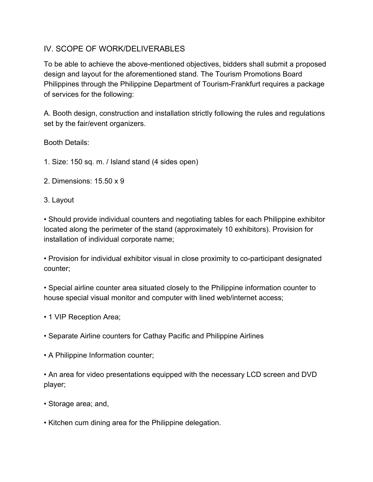## IV. SCOPE OF WORK/DELIVERABLES

To be able to achieve the above-mentioned objectives, bidders shall submit a proposed design and layout for the aforementioned stand. The Tourism Promotions Board Philippines through the Philippine Department of Tourism-Frankfurt requires a package of services for the following:

A. Booth design, construction and installation strictly following the rules and regulations set by the fair/event organizers.

Booth Details:

- 1. Size: 150 sq. m. / Island stand (4 sides open)
- 2. Dimensions: 15.50 x 9
- 3. Layout

• Should provide individual counters and negotiating tables for each Philippine exhibitor located along the perimeter of the stand (approximately 10 exhibitors). Provision for installation of individual corporate name;

• Provision for individual exhibitor visual in close proximity to co-participant designated counter;

• Special airline counter area situated closely to the Philippine information counter to house special visual monitor and computer with lined web/internet access;

- 1 VIP Reception Area;
- Separate Airline counters for Cathay Pacific and Philippine Airlines
- A Philippine Information counter;

• An area for video presentations equipped with the necessary LCD screen and DVD player;

- Storage area; and,
- Kitchen cum dining area for the Philippine delegation.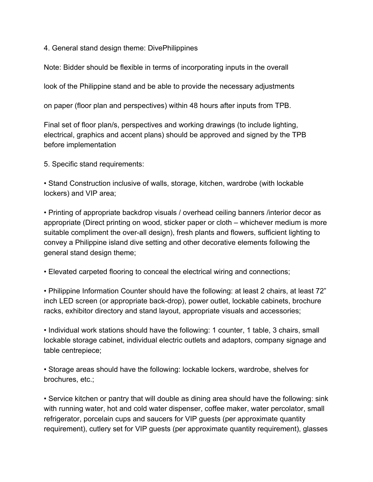4. General stand design theme: DivePhilippines

Note: Bidder should be flexible in terms of incorporating inputs in the overall

look of the Philippine stand and be able to provide the necessary adjustments

on paper (floor plan and perspectives) within 48 hours after inputs from TPB.

Final set of floor plan/s, perspectives and working drawings (to include lighting, electrical, graphics and accent plans) should be approved and signed by the TPB before implementation

5. Specific stand requirements:

• Stand Construction inclusive of walls, storage, kitchen, wardrobe (with lockable lockers) and VIP area;

• Printing of appropriate backdrop visuals / overhead ceiling banners /interior decor as appropriate (Direct printing on wood, sticker paper or cloth – whichever medium is more suitable compliment the over-all design), fresh plants and flowers, sufficient lighting to convey a Philippine island dive setting and other decorative elements following the general stand design theme;

• Elevated carpeted flooring to conceal the electrical wiring and connections;

• Philippine Information Counter should have the following: at least 2 chairs, at least 72" inch LED screen (or appropriate back-drop), power outlet, lockable cabinets, brochure racks, exhibitor directory and stand layout, appropriate visuals and accessories;

• Individual work stations should have the following: 1 counter, 1 table, 3 chairs, small lockable storage cabinet, individual electric outlets and adaptors, company signage and table centrepiece;

• Storage areas should have the following: lockable lockers, wardrobe, shelves for brochures, etc.;

• Service kitchen or pantry that will double as dining area should have the following: sink with running water, hot and cold water dispenser, coffee maker, water percolator, small refrigerator, porcelain cups and saucers for VIP guests (per approximate quantity requirement), cutlery set for VIP guests (per approximate quantity requirement), glasses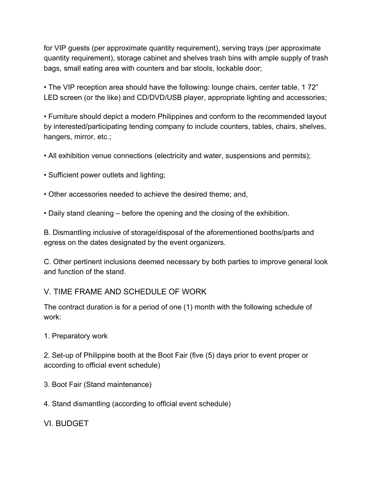for VIP guests (per approximate quantity requirement), serving trays (per approximate quantity requirement), storage cabinet and shelves trash bins with ample supply of trash bags, small eating area with counters and bar stools, lockable door;

• The VIP reception area should have the following: lounge chairs, center table, 1 72" LED screen (or the like) and CD/DVD/USB player, appropriate lighting and accessories;

• Furniture should depict a modern Philippines and conform to the recommended layout by interested/participating tending company to include counters, tables, chairs, shelves, hangers, mirror, etc.;

- All exhibition venue connections (electricity and water, suspensions and permits);
- Sufficient power outlets and lighting;
- Other accessories needed to achieve the desired theme; and,
- Daily stand cleaning before the opening and the closing of the exhibition.

B. Dismantling inclusive of storage/disposal of the aforementioned booths/parts and egress on the dates designated by the event organizers.

C. Other pertinent inclusions deemed necessary by both parties to improve general look and function of the stand.

### V. TIME FRAME AND SCHEDULE OF WORK

The contract duration is for a period of one (1) month with the following schedule of work:

1. Preparatory work

2. Set-up of Philippine booth at the Boot Fair (five (5) days prior to event proper or according to official event schedule)

- 3. Boot Fair (Stand maintenance)
- 4. Stand dismantling (according to official event schedule)

VI. BUDGET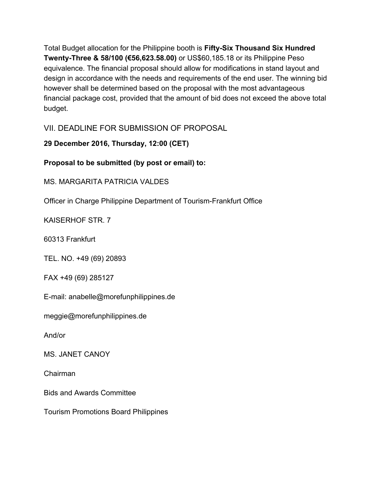Total Budget allocation for the Philippine booth is **Fifty-Six Thousand Six Hundred Twenty-Three & 58/100 (€56,623.58.00)** or US\$60,185.18 or its Philippine Peso equivalence. The financial proposal should allow for modifications in stand layout and design in accordance with the needs and requirements of the end user. The winning bid however shall be determined based on the proposal with the most advantageous financial package cost, provided that the amount of bid does not exceed the above total budget.

VII. DEADLINE FOR SUBMISSION OF PROPOSAL

**29 December 2016, Thursday, 12:00 (CET)**

**Proposal to be submitted (by post or email) to:**

MS. MARGARITA PATRICIA VALDES

Officer in Charge Philippine Department of Tourism-Frankfurt Office

KAISERHOF STR. 7

60313 Frankfurt

TEL. NO. +49 (69) 20893

FAX +49 (69) 285127

E-mail: anabelle@morefunphilippines.de

meggie@morefunphilippines.de

And/or

MS. JANET CANOY

Chairman

Bids and Awards Committee

Tourism Promotions Board Philippines